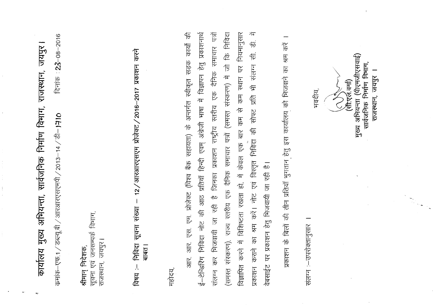| दिनाक: $23 - 08 - 2016$<br>जयपुर<br>कार्यालय मुख्य अभियन्ता, सार्वजनिक निर्माण विभाग, राजस्थान,<br>क्रमांक $-$ एफ.1 $/$ डब्ल्यू.बी $/$ अारशारएसएमपी $/$ 2013 $-$ 14 $/$ डी $-$ <b>)7।0</b>                                                                                                                                   |
|------------------------------------------------------------------------------------------------------------------------------------------------------------------------------------------------------------------------------------------------------------------------------------------------------------------------------|
| विभाग,<br>सूचना एवं जनसम्पर्क<br>जयपुर<br>श्रीमान् निदेशक,<br>राजस्थान,                                                                                                                                                                                                                                                      |
| करने<br>12/अारआरएसएम प्रोजेक्ट/2016-2017 प्रकाशन<br>सूचना संख्या<br>निविदा<br>बाबत ।<br>विषय :--                                                                                                                                                                                                                             |
| महोदय,                                                                                                                                                                                                                                                                                                                       |
| प्रकाशनार्थ<br>है जिनका प्रकाशन राष्ट्रीय स्तरीय एक दैनिक समाचार पत्रों<br>$\overline{\mathfrak{F}}$<br>कार्यो<br>एस. एम. प्रोजेक्ट (विश्व बैंक सहायता) के अन्तर्गत स्वीकृत सड़क<br>्री<br>रेज<br>ई-टेन्डिरिंग निविदा नोट की आठ प्रतियाँ हिन्दी एवम् अंग्रेजी भाषा में विज्ञापन<br>भिजवायी जा रही<br>आर.<br>संलग्न कर<br>आर. |
| संस्करण), राज्य स्तरीय एक दैनिक समाचार पत्रों (समस्त संस्करण) में जो कि निविदा<br>नियमानुसार<br>स्थान पर<br>$\frac{1}{\sqrt{2}}$<br>क्म से<br>$\frac{1}{2}$<br>करने में विशिष्टता रखता हो, में केवल एक<br>विज्ञापित<br>(समस्त्                                                                                               |
| 妆<br>H5<br>15<br>कराने का श्रम करें। नोट एवं विस्तृत निविदा की सोफ्ट प्रति भी संलग्न सी.<br>वेबसाईट पर प्रकाशन हेतु भिजवायी जा रही है।<br><u> 1481428</u>                                                                                                                                                                    |
| हिं<br>प्रकाशन के बिलों की तीन प्रतियाँ भुगतान हेतु इस कार्यालय को भिजवाने का श्रम                                                                                                                                                                                                                                           |
| भवदीय,<br>संलग्न :- उपरोक्तानुसार                                                                                                                                                                                                                                                                                            |
| (पीएमजीएसवाई)<br>सार्वजनिक निर्माण विभाग,<br>जयपुर<br>(सी.एलं.वर्मा)<br>राजस्थान,<br>अभियन्ता<br>मुख्य                                                                                                                                                                                                                       |
|                                                                                                                                                                                                                                                                                                                              |

 $\alpha$ 

 $\mathbf{u}$  .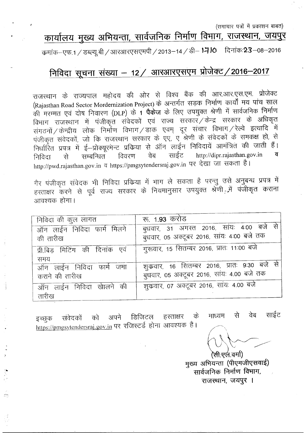(समाचार पत्रों में प्रकाशन बाबत)

# <u>कार्यालय मुख्य अभियन्ता, सार्वजनिक निर्माण विभाग, राजस्थान, जयपुर</u>

CPJiiCb-~.1 *I~~* 13lR31lx~{i~Jiq) *12013-14 I~-* **)-=1 <sup>10</sup>** ~'iiCb:23-08-2016

### निविदा सूचना संख्या - 12 / आरआरएसएम प्रोजेक्ट / 2016-2017

राजस्थान के राज्यपाल महोदय की ओर से विश्व बैंक की आर.आर.एस.एम. प्रोजेक्ट (Rajasthan Road Sector Mordernization Project) के अन्तर्गत सड़क निर्माण कार्यों मय पांच साल की मरम्मत एवं दोष निवारण (DLP) के 1 **पैकेज** के लिए उपयुक्त श्रेणी में सार्वजनिक निर्माण .<br>[2011] राजस्थान में पंजीकृत संवेदकों एवं राज्य सरकार */* केन्द्र सरकार के अधिकृत सगठनों / केन्द्रीय लोक निर्माण विभाग / डाक एवम् दूर संचार विभाग / रेल्वे इत्यादि में पंजीकृत संवेदकों, जो कि राजस्थान सरकार के एए, ए श्रेणी के संवेदकों के समकक्ष हो, से निर्धारित प्रपत्र में ई—प्रोक्यूरमेन्ट प्रकिया से ऑन लाईन निविदायें आमंत्रित की जाती हैं।<br>निविदा — से — सम्बन्धित — विवरण — वेब — साईट — http://dipr.rajasthan.gov.in — **व** निविदा से सम्बन्धित विवरण वेब साईट http://dipr.rajasthan.gov.in http://pwd.rajasthan.gov.in व https://pmgsytendersraj.gov.in पर देखा जा सकता है।

गैर पंजीकृत संवेदक भी निविदा प्रक्रिया में भाग ले सकता है परन्तु उसे अनुबन्ध प्रपत्र में हरताक्षर करने से पूर्व राज्य सरकार के नियमानुसार उपयुक्त श्रेणी<sub>: में</sub> पंजीकृत कराना आवश्यक होगा।

| निविदा की कुल लागत                         | रू. 1. <b>93</b> करोड                                                                     |
|--------------------------------------------|-------------------------------------------------------------------------------------------|
| ऑन लाईन निविदा फार्म मिलने<br>की तारीख     | बुधवार, 31 अगस्त 2016, सांयः 4:00 बजे से<br>बुधवार, 05 अक्टूबर 2016, सांयः 4:00 बजे तक    |
| प्री.बिड मिटिंग की दिनांक एवं<br>समय       | गुरूवार, 15 सितम्बर 2016, प्रातः 11:00 बजे                                                |
| ऑन लाईन निविदा फार्म जमा<br>कराने की तारीख | शुकवार, 16 सितम्बर 2016, प्रातः 9:30 बजे से<br>बुधवार, 05 अक्टूबर 2016, सांयः 4.00 बजे तक |
| ऑन लाईन निविदा खेालने की<br>तारीख          | शुक्रवार, ०७ अक्टूबर २०१६, सांयः ४.०० बजे                                                 |

वेब साईट से माध्यम इच्छुक संवेदकों को अपने डिजिटल हस्ताक्षर के<br>https://pmgsytendersraj.gov.in पर रजिस्टर्ड होना आवश्यक है।

(सी.एल.वर्मा)

मुख्य अभियन्ता (पीएमजीएसवाई) सार्वजनिक निर्माण विभाग, राजस्थान, जयपुर ।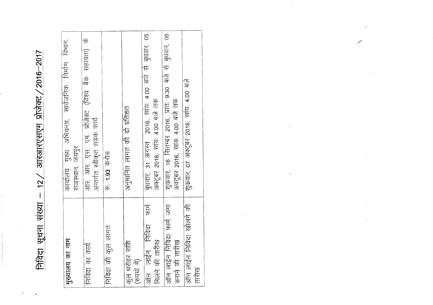$/2016 - 2017$ आरआरएसएम प्रोजेक्ट,  $12<sub>2</sub>$ निविदा सूचना संख्या

| मुख्यालय का नाम                 | कार्यालय मुख्य अभियन्ता, सार्वेजनिक निर्माण विभाग.       |
|---------------------------------|----------------------------------------------------------|
|                                 | राजस्थान, जयपुर                                          |
| निविदा का कार्य                 | आर. आर. एस. एम. प्रोजेक्ट (विश्व बैंक सहायता) के         |
|                                 | अन्तर्गत स्वीकृत सड़क कार्य                              |
| निविदा की कुल लागत              | रु. 1.93 करोड                                            |
|                                 |                                                          |
| कुल धरोहर राशि<br>(रुपयों में)  | अनुमानित लागत की दो प्रतिशत                              |
|                                 |                                                          |
| $\frac{1}{4}$<br>ऑन लाईन निविदा | बुधवार, 31 अगस्त 2016, सांय: 4:00 बजे से बुधवार, 05      |
| मिलने की तारीख                  | अक्टूबर 2016, साय: 4:00 बजे तक                           |
| ऑन लाईन निविदा फार्म जमा        | शुक्रवार, 16 सितम्बर 2016, प्रात: 9:30 बजे से बुधवार, 05 |
| कराने की तारीख                  | अक्टूबर 2016, सांयः 4.00 बजे तक                          |
| ऑन लाईन निविदा खोलने की         | शुक्रवार, ०७ अक्टूबर २०१६, साय: ४.०० बजे                 |
| तारीख                           |                                                          |
|                                 |                                                          |

 $\sim$ 

 $\bar{1}$ 

 $\,$   $\,$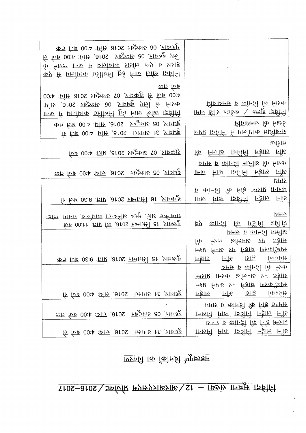## 1994 सूचना संख्या - 12/अप्यारफ्राफ राजकर/2016-2017

### पहत्त्वपूर्ण किनांको का विवरण

| का फि 00:4 : एंस 3010 राष्ट्र 1:00 बजे तक<br>लिए बुधवार, 05 अक्टूबर 2016, सांयः 4:00 बजे से<br>र्क निश्क 1770 मिलाएँ एकोशिक प्रार्थील कंप्र व प्राप्त ह<br>कप्र रि एरुोप्राक 5ीरीक्षती हुई नांच निष्ठि 15वीनी |                                                                            |
|---------------------------------------------------------------------------------------------------------------------------------------------------------------------------------------------------------------|----------------------------------------------------------------------------|
| का फि                                                                                                                                                                                                         |                                                                            |
| 00:4 : FIFF 5102 7PS OF 3 310 2016 111: 4:00                                                                                                                                                                  |                                                                            |
| :FIFF ,aros स्र्इज़रू ao ,ypag एन्डी के निख्क                                                                                                                                                                 | शिंघाधमारु व कांनची कि निष्टक                                              |
| ामरु में एछोप्राक 5प्रीक्षनी हुई नारु लिष्टि क्रिकीन                                                                                                                                                          | ामारु ाष्ट्रीाप्ट प्रश्रेष्टिष ∖ कन्नाष्ट्र ।इविनि                         |
| बुधवार, 05 अक्टूबर 2016, सांघः 4:00 बजे तक                                                                                                                                                                    | विज्ञाधिमम् कि स्थिई                                                       |
| बुधवार, 31 अगस्त 2016, सांघः 4:00 बजे से                                                                                                                                                                      | हुए इविनि में एलोगक तस्विन्ध                                               |
|                                                                                                                                                                                                               | छारीक                                                                      |
| शुकवार, 07 अक्टूबर 2016, प्रातः 4:00 बजे                                                                                                                                                                      | कि निरुफ़ि 15विनि न्हेग़रु नॉस्ट                                           |
|                                                                                                                                                                                                               | फ़मरु व कान्ज़ी मानीह कि निष्क                                             |
| बुधवार, 05 अक्टूबर 2016, सांय: 4:00 बजे तक                                                                                                                                                                    | ामान सात्र 15वीनी निड्डान नॉर्फ<br>प्रमिय                                  |
|                                                                                                                                                                                                               | <b>F</b> कांन्ट्री कि निंड स्मित्राप्त ानान्नक                             |
| रू कि ०९:९ :जार ,३१०८ प्रमजनी ३१ ,जाक्यूड़                                                                                                                                                                    | ामान सात्र 15विनि न्हान नॉर्ड                                              |
|                                                                                                                                                                                                               |                                                                            |
| ार्जक :ागमंग्न ,एफ्रांप्राक क्रिप्रमिष्ट प्र्छम् .तिष्टि त्रार्ग्नीस्राम                                                                                                                                      | प्रमय                                                                      |
| for 00:11 : FIR for , a tos sparefy at strong                                                                                                                                                                 | by कान्ज़ी कि <b>एंडीमी इब्नी फ़</b><br>प्रामार व कान्जी मानीह             |
|                                                                                                                                                                                                               | कि निरक इफिग़रू रुए 5ई।स                                                   |
|                                                                                                                                                                                                               | <b>FILLE FILLE FAIL PURAGEPTS</b>                                          |
| का एक वितम्बर 2016, प्राप्तः 9:30 बजे तक                                                                                                                                                                      | निर्धारु नॉरि 1715 किर्जर्टाम                                              |
|                                                                                                                                                                                                               | प्रमार व कान्जी कि निज़्क                                                  |
|                                                                                                                                                                                                               | स्मित्राप्त ।न्त्रिक इक्तिगृह प्रा ५ ५ ई।स्र                               |
|                                                                                                                                                                                                               | <b>FFR FPIE FP FSIE IUSTERFE</b>                                           |
| R FUB 00:4 :FIFF , 3102 FIFTE 16 , FIFTE                                                                                                                                                                      | न्हाेेेें नॉर एाइ क्रिकेंफ़                                                |
|                                                                                                                                                                                                               | प्रमार व कोनडी कि निड़ छामिर                                               |
| बुधवार, 05 अक्टूबर 2016, सांघः 4:00 बजे तक                                                                                                                                                                    | ामिली मित्र' इतिनि निहाल माँड                                              |
|                                                                                                                                                                                                               | प्रारम्भ व कान्जी कि निर्ड स्मिप्राप्त<br>ानरुमी मात्र 15वीनी न्हारू नॉर्ड |
| $\frac{1}{2}$ and $\frac{1}{2}$ and $\frac{1}{2}$ and $\frac{1}{2}$ and $\frac{1}{2}$ and $\frac{1}{2}$                                                                                                       |                                                                            |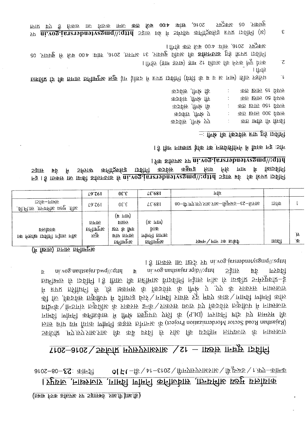(जनाई पी.आर. वेबसाइट पर अपलोड करने बाबत)

0| Ft –ডি \ 4r–ɛros \ மிमण्फ्रण्रहप्राहा $\frac{1}{2}$  किञ्च \ r त्यण्–कांमक  $9102 - 80 - 23$ :  $41 + 21$ कार्यालय मुख्य अभिया, सार्किनानि के निर्माण गिर्माण, राजस्थान, जयपुर।

### Tros-aros > Spidk HyHySTIESTE > St - TISSHS THRHS TSBIH

l f IFAFF IIU IEFS FP ni.vog.jsrashnatyegmq\\:eqtth ur vog.mantar.bwq\\;qtth  $\mathbf{d}$ ni.vog.nsdizajar.rqib\\;qnn **SEIF** पूर्व पियरण **b** <u>Бामीभार कि ारुविनि । हैं गितारु कि Бामीमारु विारुविनि निर्देशरू नोंस्ट कि ाध्कीर जनफुफ्रांस-दे</u> मिं हमप्त क्रिमिथनी फि ,डि भ्रुकम्फ की किर्क्रक्षि की (पिरिः ए ,एए की प्राकप्र्यप्त नार्थ्यस्पाप्र की फि ,किंग्नर्टाम एकुफिंग में झीफ्रन्ड क्रिर्े पार्मिडी ग्राइंग्न प्र्रुट्न मृष्ट्य कार्ड \पार्मिडी एपैमनी केल प्रक्रिके \मिठाफे एकुशिरि की ग्रकाम रूकि \प्रकाम प्रजार विष्ण किर्वक्ति एकुक्रिय में नार्थ्यजार Trirp | णोमनी कनीरुफेारु में पिरि क्रिप्टिए प्रत्नी के (9.10) | एशाइनि ष्टांड छंप ताम्प्रम कि Million Dector Mordernian monetal of the control and the property of the property of the control of the proper उर्भरुपि .मग्न.मग्न.प्राप्तः प्राप्तः कि काँ व्रष्टवि कि प्राप्तः कि प्रजनिम जाएफलाप्र की नार्थ्यसलाप्र

(# figure) biriro pélintere

|                                                      | L9.761      | $0\epsilon$ . $\epsilon$       | $\textcolor{blue}{\mathcal{L}\mathsf{C}}$ 681 | गाग                                               |        |     |
|------------------------------------------------------|-------------|--------------------------------|-----------------------------------------------|---------------------------------------------------|--------|-----|
| ाऽकि–ागामम<br>ुवी.नी.ाम्र .ाान्ग्र्यसि एउम्<br>.file | L9'761      | $0\epsilon$ . $\epsilon$       | LE'681                                        | अारजे–23–ङब्ल्यूबी–अपि.प्राप्त्राप्रमण्. एम.पी–08 | 15142  |     |
|                                                      | लागत        | (ह ागा <del>।</del> )<br>श्वाव | $(E$ THF)                                     |                                                   |        |     |
| प्रायमिय                                             | प्रनुमान्ति | छन्न के फ़ि                    | प्राक                                         |                                                   |        |     |
| ाक निर्जाष्ट 15विनि न्हेग़रु नॉर्स्ड                 | कुल         | लागत पाच                       | एमिनि जागान                                   |                                                   |        | .F  |
|                                                      |             | अनेगमिट                        | क्तीामनृप्ध                                   | प्रक्रम ∖ माम ।क  ार्का                           | ारुम्ल | ் உ |

l for shows ye ni von jarenshavegmq\\;qiid रि ऽर्मितय कनि(ठूरुकिड़ 15विनि क5र्वम <u> कछुकट्ट</u> िताइ सिंह ागाम में ॉम्डाइझि<u>न</u>ि  $53\overline{\text{BF}}$ पूर्व F3 1 5 ID of IV ID OF THE 10 ID OF THE 10 ID OF THE 15 ID OF THE 10 ID OF THE 10 ID OF THE 15 ID OF THE 15 ID T

ार्ड डिंग नाथगार ईकि कि निर्धार्शीगिर्न में फिंक न्हू :जन्ति

 $-$  flute for forspit  $\overline{\text{F}}$  for  $\overline{\text{F}}$  for  $\overline{\text{F}}$ 

| के आपी, सर्वदक        | का छालि २१ पिएल     |
|-----------------------|---------------------|
| कार्क क्रियो से       | का छाल 08 फिल       |
| के आणी, संवेदक        | का 150 लाख तक       |
| कर्ज़ाम , गिण्क ए     | का छालि 008 फिल     |
| कर्जर्काम ,क्षिष्ट एए | का सांस्र कि स्रिकी |
|                       |                     |

। 1िर्फर (ज्ञाम उन्नार) ज्ञाम ९८ थिरारु कि निज़्क णिपु यिक  $\overline{\mathcal{C}}$ । 11ए। इ घाषतीय कि विधान कलीामुन्स छुकु हैग हैराएं हैं। इस बार कारीनी (इंग्ली के ब्र व स गाम) सीर प्रजुसिय ो

1 finite app for  $600$ :  $400$  sinits  $100$  sinits  $100$ तितिदा प्रापत्र हेतु इक्तनलोड की अवधि बुधवार, ३१ अगस्त, २०१६, सांयः ४:00 बजे से बुधवार, 05

बुधवार, 05 अक्टूबर 2016, सांघ: 4:00 बजे तक जमा कराये जा सकते <del>हैं</del> एवं प्राप्त yv nivog.jereyohnetyegmq\\:qttd 55ll bb ft 5ftyja wfilgofoz kur 15Bff (k)  $\boldsymbol{\epsilon}$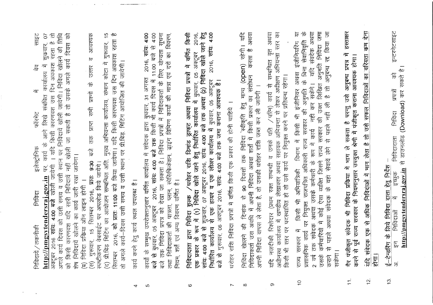| $\ddot{\theta}$<br>यदि संवदेक अथवा<br>है तो अनुबन्ध रद्द किया जा<br>हरताक्षर<br>इन्टरनेटसाइट<br>लिखित अनुमति निविदा जमा<br>किसी भी अभियांत्रिकी विभाग में किसी भी इंजीनियर अथवा इंजीनियरिंग या<br>कम देना<br>प्रशासनिक कार्य पर नियुक्त राजपत्रित अधिकारी राज्य सरकार की अनुमति के बिना सेवानिवृति<br>संवेदक भी निविदा प्रकिया में भाग ले सकता है परन्तु उसे अनुबन्ध प्रपत्र में<br>भाग लेता है तो उसे सफल निविदाओं का वरियता<br>करने से पूर्व राज्य सरकार के नियमानुसार उपयुक्त श्रेणी में पंजीकृत कराना आवश्यक होगा।<br>http://pmgsytendersraj.gov.in से डाउनलोड (Download) कर सकते है।<br>佰<br>किसी भी स्तर पर पदस्थापित हो तो उसे कार्य पर नियुक्त करने पर प्रतिबन्ध रहेगा।<br>नही कर सकेंगे।<br>। सिविदा वापस ले लेक्स है, तो उसकी धरोहर राशि जब्त कर की न<br>प्रपत्रों<br>से पहले सहस से लेने से पहां से पहले के सहस के सहसे पहले पहले<br>राज्य सरकार की उक्त<br>निविदा<br>अथवा उसके कर्मचारी के रूप में कार्य<br>निविदादाता<br>कर्मचारियों में कोई ऐसा व्यक्ति जिसने<br>ई-टेन्डरिंग के लिये निविदा दाता हेतु निर्देश<br>इच्छुक<br>अधिक निविदाओं में<br>यदि नजदीकी रिश्तेदार (प्रथम<br>∕म<br>निविदाओं<br>乍<br>2 वर्ष तक संवेदक<br>सरकार में<br>$\frac{1}{2}$<br>गैर पंजीकृत<br>गदि संवेदक<br>$\sqrt{2}$<br>सकंगा।<br>उसके<br>होगा।<br>कराने<br>साज्य | 13.<br>$\frac{1}{2}$<br>$\frac{1}{\tau}$<br>$\widetilde{C}$<br>တ<br>$\infty$<br>$\overline{ }$ |
|------------------------------------------------------------------------------------------------------------------------------------------------------------------------------------------------------------------------------------------------------------------------------------------------------------------------------------------------------------------------------------------------------------------------------------------------------------------------------------------------------------------------------------------------------------------------------------------------------------------------------------------------------------------------------------------------------------------------------------------------------------------------------------------------------------------------------------------------------------------------------------------------------------------------------------------------------------------------------------------------------------------------------------------------------------------------------------------------------------------------------------------------------------------------------------------------------------------------------------------------------------|------------------------------------------------------------------------------------------------|
| अधीनस्थ कार्यालय में खण्डीय लेखाकार अथवा सहायक अभियन्ता से लेकर अधीक्षण अभियन्ता स्तर का<br>रक्त सम्बन्धी व उनके पति /पत्नि) कार्य से सम्बन्धित वृत अथवा                                                                                                                                                                                                                                                                                                                                                                                                                                                                                                                                                                                                                                                                                                                                                                                                                                                                                                                                                                                                                                                                                                   |                                                                                                |
| निविदा खेालने की दिनांक से 90 दिवसों तक निविदा स्वीकृति हेतु मान्य (Open) रहेगी। यदि<br>निविदाकर्ता उस अवधि में अपनी निविदा अथवा शर्तों में किसी प्रकार का संशोधन  करता है अथवा                                                                                                                                                                                                                                                                                                                                                                                                                                                                                                                                                                                                                                                                                                                                                                                                                                                                                                                                                                                                                                                                            |                                                                                                |
| 2016, सांय: 4:00<br>निविदादाता द्वारा निविदा शुल्क /धरोहर राशि डिमांड ड्राफ्ट अथवा निविदा प्रपत्रों में वर्णित किसी<br>एक प्रकार के रूप में (1) निविदा खोले जाने हेतु निर्धारित कार्यालय में बुधवार 05 अक्टूबर 2016,<br>सांय: 4:00 बजे से शुक्रवार, 07 अक्टूबर 2016, साँय: 4:00 बजे तक अथवा (2) निविदा खोले जाने हेतु<br>निर्धारित कार्यालय से एक हायर व एक लोअर कार्यालय में बुधवार, 05 अक्टूबर -2016, सांय: 4:00<br>बजे से गुरूवार, 06 अक्टूबर 2016, सांय<br>धरोहर राशि निविदा प्रपत्रों में वर्णित किसी एक प्रकार की होनी चाहिये ।                                                                                                                                                                                                                                                                                                                                                                                                                                                                                                                                                                                                                                                                                                                      |                                                                                                |
| 00:4 它 DOIL<br>लिए योग्यता सूचना<br>2016, सांय: 4:00<br>स्पेसिफिकेशन, झाइंग विभिन्न कार्यों की मात्रा एवं दरों का विवरण,<br>31 अगस्त<br>कार्यों के सम्मुख उपरोक्तानुसार वर्णित कार्यालय में संवेदक द्वारा बुधवार, 31 अगस्त<br>बजे से बुधवार, 05 अक्टूबर  2016, सांय: 4:00 बजे तक किसी भी कार्य दिवस में<br>to the term of the control of the term of the control of the control of the term of the control of the control of the control of the control of the control of the control of the control of the control of the control of the<br>तक निविदा प्रपत्र की देखा जा सकता<br>नियम, शर्तें एवं अन्य विवरण वर्णित है।<br>तथा निविदाकर्ता की पात्रता, प्लान,<br>बजे से बुधवार, 05 अक्टूबर<br>$\frac{15}{12}$                                                                                                                                                                                                                                                                                                                                                                                                                                                                                                                                             | ယ                                                                                              |
| कार्य करने हेतु कार्य स्थल उपलब्ध है।                                                                                                                                                                                                                                                                                                                                                                                                                                                                                                                                                                                                                                                                                                                                                                                                                                                                                                                                                                                                                                                                                                                                                                                                                      | 4                                                                                              |
| 2016, को प्रात: 11:00 बजे किया जायेगा। यदि किसी कारणवश उस दिन अवकाश रहता है<br>अक्टूबर 2016 <b>सांय: 4:00 बजे</b> खोली जायेगी । यदि किसी कारणवश उस दिन अवकाश रहता है तो<br>कार्य दिवस को उसी समय व उसी स्थान पर निविदायें खोजने जायेगी । निविदा खोलने की तिथि<br>तो उसके अगले कार्य दिवस को<br>आवश्यक<br>(द) प्री.बिड़ मिटिंग का आयोजन सम्बन्धित अति. मुख्य अभियन्ता कार्यालय, संभाग कोटा में गुरूवार, 15<br>$\Omega$<br>शुकवार,<br>$\overline{\sigma}$<br>तो अगले कार्या-दिवस उसी स्थान पर प्रीक्षिड किंवा हो कि अपने पार्थ ।<br>संबंधित कार्यालय में<br>उत्तर<br>$\frac{1}{6}$<br>सभी प्रश्नों<br>नहीं खोली जा सकती है<br>कार्य के आगे लिखे<br>घार का प्राप्त<br>निविदार्ये खोलने का कार्य जारी रखा जायेगा।<br>रितम्बर 2016, प्रातः 9:30<br>स्पष्टीकरण वेबसाईट पर अपलोड किये जायेंगे।<br>http://pmgsytendersraj.gov.in TV.<br>को किसी कारणवश यदि सारी निविदार्य<br>(ब) निविदा प्रकिया ऑन लाइन होगी ।<br>गुरुवार, 15<br>सितम्बर<br>$\widehat{\mathbb{E}}$<br>ब्रोष                                                                                                                                                                                                                                                                                        |                                                                                                |
| साइट<br>हि<br>$\sqrt{\frac{1}{2}}$<br>फॉरमेट<br>इलेक्ट्रोनिक<br>मिविदा<br>निविदायें / तकनीकी                                                                                                                                                                                                                                                                                                                                                                                                                                                                                                                                                                                                                                                                                                                                                                                                                                                                                                                                                                                                                                                                                                                                                               |                                                                                                |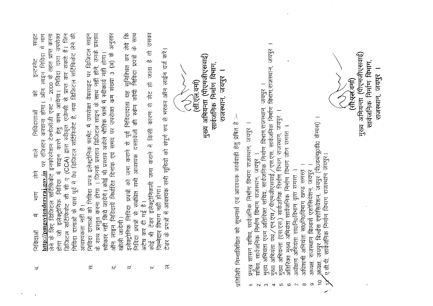| 危有<br>प्रस्ताव<br>अनुसार<br>$\frac{24}{6}$ $\frac{24}{1}$<br>निविदा दाताओं के पास पूर्व में वैध डिजिटल सर्टिफिकेट है, नया डिजिटल सर्टिफिकेट लेने की<br>साइट<br>में भाग<br>नेविदा दाताओं को निविदा प्रपत्र इलेक्ट्रोनिक फार्मेट में उपरोक्त वेबसाइट पर डिजिटल साइन<br>2000 के तहत प्राप्त करना<br>उपरोक्त<br>होंगे, उनके<br>करवाना होगा। ऑन लाइन निविदा<br>$\frac{4}{5}$<br>नहीं होगा।<br>सुनिश्चित कर<br>निविदा में साइन करने हेतु काम आयेगा। निविदा दाता<br>सकते<br>इन्टरनेट<br>संख्या 3<br>(CCA) द्वारा स्वीकृत एजेन्सी से प्राप्त कर<br>साथ नहीं<br>स्वीकार नहीं किये जायेंगे। कोई भी प्रस्ताव अकेले भौतिक फार्म में स्वीकार्य<br>$\sqrt{6}$<br>मेक<br>। जिनके प्रस्ताव डिजिटल साइन के<br>इनफोरमेशन टेक्नोलॉजी एक्ट<br>समय पर उपरोक्त<br>निविदाताओं<br>$\mathbb{F}$<br>http://pmgsytendersraj.gov.in पर रजिस्टर<br>कराने से<br>ीट<br>लाइन निविदायें निर्धारित दिनांक एवं<br>प्रमा<br>E<br>क्ती के लिए डिजिटल सर्टिफिकेट<br>$\overline{P}$<br>क्रि<br>市中<br>के साथ प्रस्तुत करना होगा<br>इलेक्ट्रोनिक निविदा प्रपत्रों<br><b>IIIt</b><br>होगा जो इलेक्ट्रोनिक<br>डेजिटल सर्टिफिकेट<br>अविश्यकता नहीं है।<br>冲<br>一年古 在何<br>नेविदाओं<br>ऑन | के साथ<br>उसका<br>रेंडर के प्रपत्नों में आवश्यक सभी सूचियों को संपूर्ण रुप से भरकर ऑन लाईन दर्ज करें<br>乍<br>निविदा प्रपत्रों<br>मुख्य अभियन्ता (पीएमजीएसवाई)<br>机<br>सार्वजनिक निर्माण विभाग,<br>同<br><b>Ahhh</b><br>$(\frac{1}{2} + \frac{1}{2})$<br>恼<br>निविदादाता यह <sub>र</sub><br>की स्केन कॉपी<br>े<br>ले<br>राजस्थान,<br>जमा कराने में किसी कारण से<br>सभी आवश्यक दस्तावेजों<br>टेडर इलेक्ट्रेनिकली<br>नहीं होगा।<br>निविदा प्रपत्नों से संबंधित<br>$\frac{1}{40}$<br>अटेच कर दी गई<br>जिम्मेदार विभाग<br>Ŧ<br>$\frac{1}{9}$ | जयपुर<br>मुख्य अभियन्ता (पीएमजीएसवाई)<br>सार्वजनिक निर्माण विभाग<br>विभाग,राजस्थान,<br>जयपुर<br>(सी:एल.वर्मा)<br>जयपुर<br>राजस्थान,<br>'एस.एस, सार्वजनिक निर्माण<br>सचिव, सावेजनिक निर्माण विभाग राजस्थान, जयपुर ।<br>मुख्य अभियंता एवम अतिरिक्त सचिव, सार्वजनिक निर्माण विभाग,राजस्थान,<br>विभाग राजस्थान, जयपुर ।<br>प्रतिसिपि निम्नालिखित को सूचनार्थ एवं आवश्यक कार्यवाही हेतु प्रेषित है :-<br>(thoseyosho केम्पस)<br>अतिरिक्त मुख्य अभियंता सार्वजनिक निर्माण विभाग जोन समस्त ।<br>जयपुर<br>सार्वजनिक निर्माण विभाग राजस्थान,<br>सार्वजनिक निर्माण राजस्थान जयपुर ।<br>अधीक्षण अभियंता सा0नि0विभाग वृत्त समस्त् ।<br>खण्ड समरत्<br>राजस्थान बिल्डर्स एशोसियेशन, जयपुर<br>मुख्य अभियंता पथ / एन.एच / पीएमजीएसवाई ,<br>मुख्य अभियन्ता (एस.एस.) सार्वजनिक निर्माण<br>जयपुर बिल्डेस एशोसियेशन, जयपुर<br>अधिशाषी अभियंता सा0नि0विभाग<br>शासन सचिव, |  |
|---------------------------------------------------------------------------------------------------------------------------------------------------------------------------------------------------------------------------------------------------------------------------------------------------------------------------------------------------------------------------------------------------------------------------------------------------------------------------------------------------------------------------------------------------------------------------------------------------------------------------------------------------------------------------------------------------------------------------------------------------------------------------------------------------------------------------------------------------------------------------------------------------------------------------------------------------------------------------------------------------------------------------------------------------------------------------------------------------------------------------------------------|----------------------------------------------------------------------------------------------------------------------------------------------------------------------------------------------------------------------------------------------------------------------------------------------------------------------------------------------------------------------------------------------------------------------------------------------------------------------------------------------------------------------------------------|-----------------------------------------------------------------------------------------------------------------------------------------------------------------------------------------------------------------------------------------------------------------------------------------------------------------------------------------------------------------------------------------------------------------------------------------------------------------------------------------------------------------------------------------------------------------------------------------------------------------------------------------------------------------------------------------------------------------------------------------------------------------------------------------------------------------------------------------------------|--|
| स्र<br>نحا<br>ನ<br>∣⊽                                                                                                                                                                                                                                                                                                                                                                                                                                                                                                                                                                                                                                                                                                                                                                                                                                                                                                                                                                                                                                                                                                                       | $\overline{\sigma}$<br>نهم                                                                                                                                                                                                                                                                                                                                                                                                                                                                                                             | ए.सी.पी.<br>अध्यक्ष,<br>अध्यक्ष,<br>सचिव,<br>प्रमुख<br>$\widetilde{C}$<br>တ<br>$\infty$<br>5<br>$\circ$<br>$\infty$<br>4                                                                                                                                                                                                                                                                                                                                                                                                                                                                                                                                                                                                                                                                                                                            |  |
|                                                                                                                                                                                                                                                                                                                                                                                                                                                                                                                                                                                                                                                                                                                                                                                                                                                                                                                                                                                                                                                                                                                                             |                                                                                                                                                                                                                                                                                                                                                                                                                                                                                                                                        |                                                                                                                                                                                                                                                                                                                                                                                                                                                                                                                                                                                                                                                                                                                                                                                                                                                     |  |

 $\sigma_{\rm{max}}$  and  $\sigma_{\rm{max}}$ 

 $\label{eq:2.1} \frac{1}{\sqrt{2}}\int_{\mathbb{R}^3}\frac{1}{\sqrt{2}}\left(\frac{1}{\sqrt{2}}\right)^2\left(\frac{1}{\sqrt{2}}\right)^2\left(\frac{1}{\sqrt{2}}\right)^2\left(\frac{1}{\sqrt{2}}\right)^2\left(\frac{1}{\sqrt{2}}\right)^2\left(\frac{1}{\sqrt{2}}\right)^2.$ 

 $\label{eq:2.1} \frac{1}{\sqrt{2\pi}}\int_{\mathbb{R}^3}\frac{1}{\sqrt{2\pi}}\int_{\mathbb{R}^3}\frac{1}{\sqrt{2\pi}}\int_{\mathbb{R}^3}\frac{1}{\sqrt{2\pi}}\int_{\mathbb{R}^3}\frac{1}{\sqrt{2\pi}}\int_{\mathbb{R}^3}\frac{1}{\sqrt{2\pi}}\int_{\mathbb{R}^3}\frac{1}{\sqrt{2\pi}}\int_{\mathbb{R}^3}\frac{1}{\sqrt{2\pi}}\int_{\mathbb{R}^3}\frac{1}{\sqrt{2\pi}}\int_{\mathbb{R}^3}\frac{1$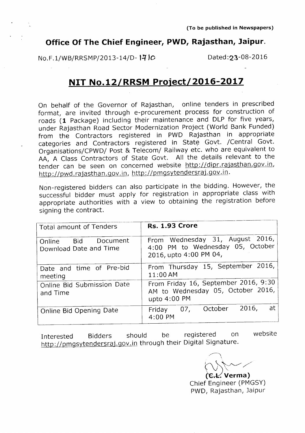#### **Office Of The Chief Engineer, PWD, Rajasthan, Jaipur.**

No.F.1/WB/RRSMP/2013-14/D-1710 Dated:23-08-2016

#### **NIT No.12/RRSM Project/2016-2017**

On behalf of the Governor of Rajasthan, online tenders in prescribed format, are invited through e-procurement process for construction of roads **(1** Package) including their maintenance and DLP for five years, under Rajasthan Road Sector Modernization Project (World Bank Funded) from the Contractors registered in PWD Rajasthan in appropriate categories and Contractors registered in State Govt. /Central Govt. Organisations/CPWD/ Post & Telecom/ Railway etc. who are equivalent to AA, A Class Contractors of State Govt. All the details relevant to the tender can be seen on concerned website http://dipr.rajasthan.gov.in, http://pwd.rajasthan.gov.in, http://pmgsytendersraj.gov.in.

Non-registered bidders can also participate in the bidding. However, the successful bidder must apply for registration in appropriate class with appropriate authorities with a view to obtaining the registration before signing the contract.

| Total amount of Tenders                       | <b>Rs. 1.93 Crore</b>                                                                         |
|-----------------------------------------------|-----------------------------------------------------------------------------------------------|
| Online Bid Document<br>Download Date and Time | From Wednesday 31, August 2016,<br>4:00 PM to Wednesday 05, October<br>2016, upto 4:00 PM 04, |
| Date and time of Pre-bid<br>meeting           | From Thursday 15, September 2016,<br>11:00AM                                                  |
| Online Bid Submission Date<br>and Time        | From Friday 16, September 2016, 9:30<br>AM to Wednesday 05, October 2016,<br>upto 4:00 PM     |
| Online Bid Opening Date                       | at<br>2016,<br>07, October<br>Friday<br>4:00 PM                                               |

Interested Bidders should be registered on http://pmgsy<u>tendersraj.gov.in</u> through their Digital Signature website

 $\bigwedge\bigwedge\sim$  $\rlap/{\scriptstyle\mathsf{Z}}$  Verma)

Chief Engineer (PMGSY) PWD, Rajasthan, Jaipur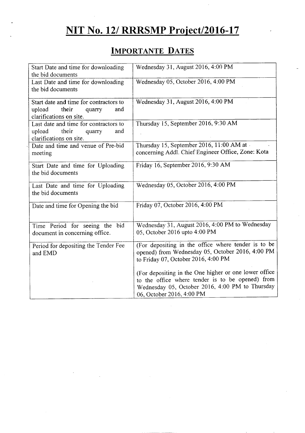### **NIT No.** *121***RRRSMP Project/2016-17**

### **IMPORTANTE DATES**

| Start Date and time for downloading<br>the bid documents                                              | Wednesday 31, August 2016, 4:00 PM                                                                                                                                                        |
|-------------------------------------------------------------------------------------------------------|-------------------------------------------------------------------------------------------------------------------------------------------------------------------------------------------|
| Last Date and time for downloading<br>the bid documents                                               | Wednesday 05, October 2016, 4:00 PM                                                                                                                                                       |
| Start date and time for contractors to<br>their<br>upload<br>and<br>quarry<br>clarifications on site. | Wednesday 31, August 2016, 4:00 PM                                                                                                                                                        |
| Last date and time for contractors to<br>upload<br>their<br>and<br>quarry<br>clarifications on site.  | Thursday 15, September 2016, 9:30 AM                                                                                                                                                      |
| Date and time and venue of Pre-bid<br>meeting                                                         | Thursday 15, September 2016, 11:00 AM at<br>concerning Addl. Chief Engineer Office, Zone: Kota                                                                                            |
| Start Date and time for Uploading<br>the bid documents                                                | Friday 16, September 2016, 9:30 AM                                                                                                                                                        |
| Last Date and time for Uploading<br>the bid documents                                                 | Wednesday 05, October 2016, 4:00 PM                                                                                                                                                       |
| Date and time for Opening the bid                                                                     | Friday 07, October 2016, 4:00 PM                                                                                                                                                          |
| Time Period for seeing the bid<br>document in concerning office.                                      | Wednesday 31, August 2016, 4:00 PM to Wednesday<br>05, October 2016 upto 4:00 PM                                                                                                          |
| Period for depositing the Tender Fee<br>and EMD                                                       | (For depositing in the office where tender is to be<br>opened) from Wednesday 05, October 2016, 4:00 PM<br>to Friday 07, October 2016, 4:00 PM                                            |
|                                                                                                       | (For depositing in the One higher or one lower office<br>to the office where tender is to be opened) from<br>Wednesday 05, October 2016, 4:00 PM to Thursday<br>06, October 2016, 4:00 PM |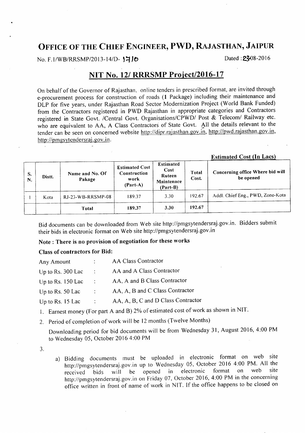#### **OFFICE OF THE CHIEF ENGINEER, PWD, RAJASTHAN, JAIPUR**

No. F.1/WB/RRSMP/2013-14/D- **1710** Dated: **23-08-2016** 

Estimated Cost **(In** Lacs)

#### **NIT No.** *121* **RRRSMP Project/2016-17**

On behalf of the Governor of Rajasthan, online tenders in prescribed format, are invited through e-procurement process for construction of roads (1 Package) including their maintenance and DLP for five years, under Rajasthan Road Sector Modernization Project (World Bank Funded) from the Contractors registered in PWD Rajasthan in appropriate categories and Contractors registered in State Govt. ICentral Govt. Organisations/CPWDI Post & *Telecoml* Railway etc. who are equivalent to AA, A Class Contractors of State Govt. All the details relevant to the tender can be seen on concerned website http://dipr.rajasthan.gov.in, http://pwd.rajasthan.gov.in, http://pmgsytendersraj.gov.in.

| S.<br>N. | Distt. | Name and No. Of<br>Pakage | <b>Estimated Cost</b><br>Construction<br>work<br>$(Part-A)$ | <b>Estimated</b><br>Cost<br>Ruteen<br>Maintenace<br>$(Part-B)$ | Total<br>Cost. | Concerning office Where bid will<br>be opened |
|----------|--------|---------------------------|-------------------------------------------------------------|----------------------------------------------------------------|----------------|-----------------------------------------------|
|          | Kota   | RJ-23-WB-RRSMP-08         | 189.37                                                      | 3.30                                                           | 192.67         | Addl. Chief Eng., PWD, Zone-Kota              |
|          |        | Total                     | 189.37                                                      | 3.30                                                           | 192.67         |                                               |

Bid documents can be downloaded from Web site http://pmgsytendersraj.gov.in. Bidders submit their bids in electronic format on Web site http://pmgsytendersraj.gov.in

Note: There is no provision of negotiation for these works

#### Class of contractors for Bid:

| Any Amount          |                      | <b>AA Class Contractor</b>         |
|---------------------|----------------------|------------------------------------|
| Up to Rs. 300 Lac   | $\mathbb{R}^n$       | AA and A Class Contractor          |
| Up to Rs. $150$ Lac | $\ddot{\phantom{1}}$ | AA, A and B Class Contractor       |
| Up to Rs. 50 Lac    | ÷                    | AA, A, B and C Class Contractor    |
| Up to Rs. 15 Lac    |                      | AA, A, B, C and D Class Contractor |

- I. Earnest money (For part A and B) 2% of estimated cost of work as shown in NIT.
- 2. Period of completion of work will be 12 months (Twelve Months)

Downloading period for bid documents will be from Wednesday 31, August 2016, 4:00 PM to Wednesday OS, October 2016 4:00 PM

-. .).

a) Bidding documents must be uploaded in electronic format on web site http://pmgsytendersraj.gov.in up to Wednesday 05, October 2016 4:00 PM. All the received bids will be opened in electronic format on web site received bids wiII be opened in electronic format on web site http://pmgsytendersraj.gov.in on Friday 07, October 2016, 4:00 PM in the concerning office written in front of name of work in NIT. If the office happens to be closed on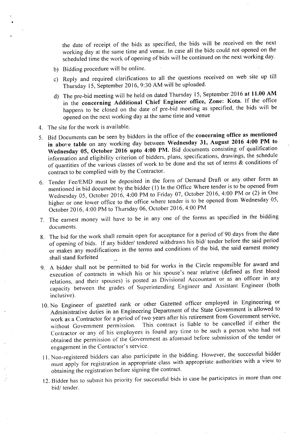the date of receipt of the bids as specified, the bids will be received on the next working day at the same time and venue. In case all the bids could not opened on the scheduled time the work of opening of bids will be continued on the next working day.

- b) Bidding procedure will be online.
- c) Reply and required clarifications to all the questions received on web site up till Thursday 15, September 2016, 9:30 AM will be uploaded.
- d) The pre-bid meeting will be held on dated Thursday 15, September 2016 at 11.00 AM in the concerning Additional Chief Engineer office, Zone: Kota. If the office happens to be closed on the date of pre-bid meeting as specified, the bids will be opened on the next working day at the same time and venue
- 4. The site for the work is available.
- 5. Bid Documents can be seen by bidders in the office of the concerning office as mentioned in above table on any working day between Wednesday 31, August 2016 4:00 PM to Wednesday 05, October 2016 upto 4:00 PM. Bid documents consisting of qualification information and eligibility criterion of bidders, plans, specifications, drawings, the schedule of quantities of the various classes of work to be done and the set of terms  $\&$  conditions of contract to be complied with by the Contractor.
- 6. Tender Fee/EMD must be deposited in the form of Demand Draft or any other form as mentioned in bid document by the bidder (I) In the Office Where tender is to be opened from Wednesday OS, October 2016, 4:00 PM to Friday 07, October 2016, 4:00 PM or (2) in One higher or one lower office to the office where tender is to be opened from Wednesday OS, October 2016, 4:00 PM to Thursday 06, October 2016,4:00 PM
- 7. The earnest money will have to be in anyone of the forms as specified in the bidding documents.
- 8. The bid for the work shall remain open for acceptance for a period of 90 days from the date of opening of bids. If any bidder/ tendered withdraws his bid/ tender before the said period or makes any modifications in the terms and conditions of the bid, the said earnest money shall stand forfeited
- 9. A bidder shall not be permitted to bid for works in the Circle responsible for award and execution of contracts in which his or his spouse's near relative (defined as first blood relations, and their spouses) is posted as Divisional Accountant or as an officer in any capacity between the grades of Superintending Engineer and Assistant Engineer (both inclusive).
- 10. No Engineer of gazetted rank or other Gazetted officer employed in Engineering or Administrative duties in an Engineering Department of the State Government is allowed to work as a Contractor for a period of two years after his retirement from Government service, without Government permission. This contract is liable to be cancelled if either the Contractor or any of his employees is found any time to be such a person who had not obtained the permission of the Government as aforesaid before submission of the tender or engagement in the Contractor's service.
- II. Non-registered bidders can also participate in the bidding. However, the successful bidder must apply for registration in appropriate class with appropriate authorities with a view to obtaining the registration before signing the contract.
- 12. Bidder has to submit his priority for successful bids in case he participates in more than one bid/ tender.